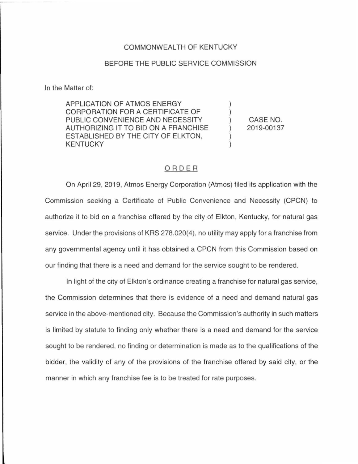## COMMONWEALTH OF KENTUCKY

## BEFORE THE PUBLIC SERVICE COMMISSION

In the Matter of:

APPLICATION OF ATMOS ENERGY CORPORATION FOR A CERTIFICATE OF PUBLIC CONVENIENCE AND NECESSITY AUTHORIZING IT TO BID ON A FRANCHISE ESTABLISHED BY THE CITY OF ELKTON, KENTUCKY

CASE NO. 2019-00137

## ORDER

On April 29, 2019, Atmos Energy Corporation (Atmos) filed its application with the Commission seeking a Certificate of Public Convenience and Necessity (CPCN) to authorize it to bid on a franchise offered by the city of Elkton, Kentucky, for natural gas service. Under the provisions of KRS 278.020(4), no utility may apply for a franchise from any governmental agency until it has obtained a CPCN from this Commission based on our finding that there is a need and demand for the service sought to be rendered.

In light of the city of Elkton's ordinance creating a franchise for natural gas service, the Commission determines that there is evidence of a need and demand natural gas service in the above-mentioned city. Because the Commission's authority in such matters is limited by statute to finding only whether there is a need and demand for the service sought to be rendered, no finding or determination is made as to the qualifications of the bidder, the validity of any of the provisions of the franchise offered by said city, or the manner in which any franchise fee is to be treated for rate purposes.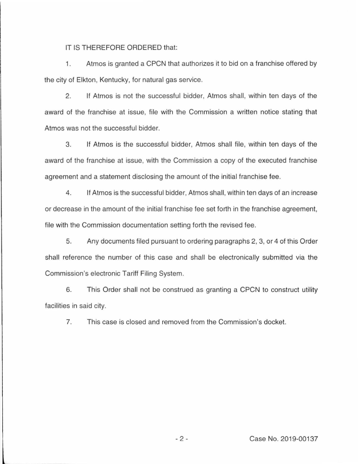IT IS THEREFORE ORDERED that:

1. Atmos is granted a CPCN that authorizes it to bid on a franchise offered by the city of Elkton, Kentucky, for natural gas service.

2. If Atmos is not the successful bidder, Atmos shall, within ten days of the award of the franchise at issue, file with the Commission a written notice stating that Atmos was not the successful bidder.

3. If Atmos is the successful bidder, Atmos shall file, within ten days of the award of the franchise at issue, with the Commission a copy of the executed franchise agreement and a statement disclosing the amount of the initial franchise fee.

4. If Atmos is the successful bidder, Atmos shall, within ten days of an increase or decrease in the amount of the initial franchise fee set forth in the franchise agreement, file with the Commission documentation setting forth the revised fee.

5. Any documents filed pursuant to ordering paragraphs 2, 3, or 4 of this Order shall reference the number of this case and shall be electronically submitted via the Commission's electronic Tariff Filing System.

6. This Order shall not be construed as granting a CPCN to construct utility facilities in said city.

7. This case is closed and removed from the Commission's docket.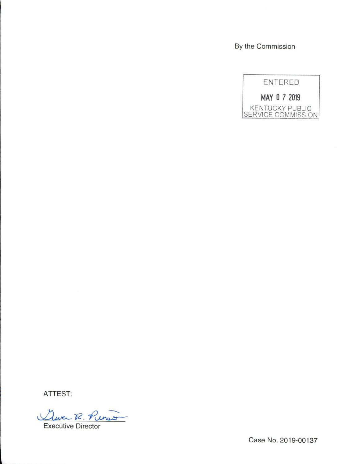By the Commission



**ATTEST:** 

Que R. Purs

Case No. 2019-00137